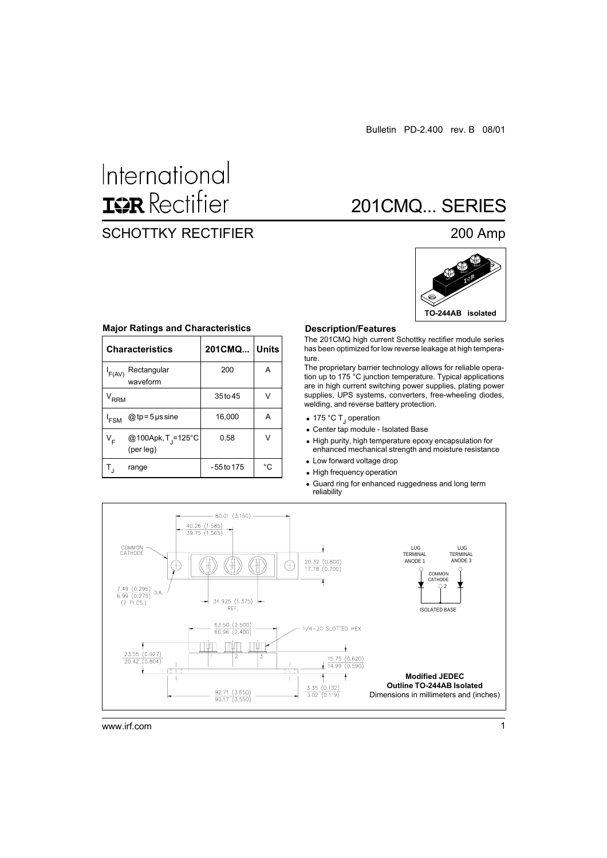# International **ISR** Rectifier

# SCHOTTKY RECTIFIER 200 Amp

# 201CMQ... SERIES



|                  | <b>Characteristics</b>                      | 201CMQ Units |    |
|------------------|---------------------------------------------|--------------|----|
| F(AV)            | Rectangular<br>waveform                     | 200          | А  |
| $\rm V_{RRM}$    |                                             | 35 to 45     |    |
| <sup>I</sup> FSM | $@tp = 5$ µs sine                           | 16,000       | А  |
| V <sub>F</sub>   | @100Apk, T <sub>J</sub> =125°C<br>(per leg) | 0.58         | v  |
|                  | range                                       | -55 to 175   | °C |

#### **Major Ratings and Characteristics**

#### **Description/Features**

The 201CMQ high current Schottky rectifier module series has been optimized for low reverse leakage at high temperature.

The proprietary barrier technology allows for reliable operation up to 175 °C junction temperature. Typical applications are in high current switching power supplies, plating power supplies, UPS systems, converters, free-wheeling diodes, welding, and reverse battery protection.

- 175 °C T<sub>J</sub> operation
- Center tap module Isolated Base
- High purity, high temperature epoxy encapsulation for enhanced mechanical strength and moisture resistance
- Low forward voltage drop
- High frequency operation
- Guard ring for enhanced ruggedness and long term reliability



www.irf.com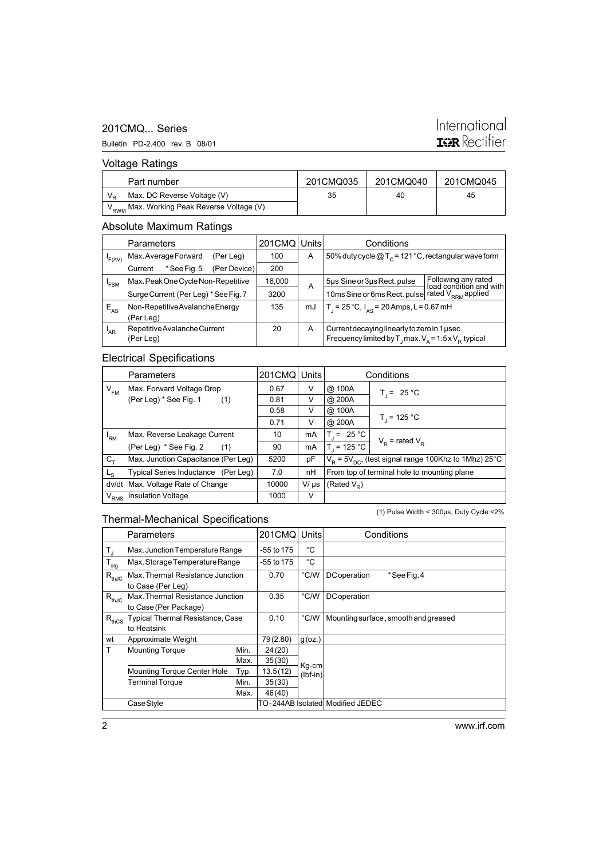#### 201CMQ... Series

# International **IQR** Rectifier

Bulletin PD-2.400 rev. B 08/01

# Voltage Ratings

| Part number                                            | 201CMQ035 | 201CMQ040 | 201CMQ045 |
|--------------------------------------------------------|-----------|-----------|-----------|
| Max. DC Reverse Voltage (V)                            | 35        | 40        | 45        |
| V <sub>RWM</sub> Max. Working Peak Reverse Voltage (V) |           |           |           |

## Absolute Maximum Ratings

|                 | <b>Parameters</b>                  |                                      |              | 201CMQ | Units                                       | Conditions                                                                                |  |
|-----------------|------------------------------------|--------------------------------------|--------------|--------|---------------------------------------------|-------------------------------------------------------------------------------------------|--|
| 'F(AV)          |                                    | Max. Average Forward                 | (Per Leg)    | 100    | A                                           | 50% duty cycle $@T_c = 121 °C$ , rectangular wave form                                    |  |
|                 | Current                            | *See Fig. 5                          | (Per Device) | 200    |                                             |                                                                                           |  |
| 'FSM            | Max. Peak One Cycle Non-Repetitive |                                      | 16,000       | A      | 5µs Sine or 3µs Rect. pulse                 | Following any rated<br>load condition and with                                            |  |
|                 |                                    | Surge Current (Per Leg) * See Fig. 7 |              | 3200   |                                             | 10ms Sine or 6ms Rect. pulse rated V <sub>RRM</sub> applied                               |  |
| $E_{AS}$        | Non-Repetitive Avalanche Energy    |                                      |              | 135    | mJ                                          | T <sub>1</sub> = 25 °C, $I_{AS}$ = 20 Amps, L = 0.67 mH                                   |  |
|                 | (Per Leg)                          |                                      |              |        |                                             |                                                                                           |  |
| <sup>I</sup> AR | Repetitive Avalanche Current       |                                      | 20           | A      | Current decaying linearly to zero in 1 usec |                                                                                           |  |
|                 | (Per Leg)                          |                                      |              |        |                                             | Frequency limited by $T_{\text{J}}$ max. $V_{\text{A}} = 1.5 \times V_{\text{p}}$ typical |  |

#### Electrical Specifications

|                | <b>Parameters</b>                   | 201CMQ Units |           | Conditions                                                             |                     |  |
|----------------|-------------------------------------|--------------|-----------|------------------------------------------------------------------------|---------------------|--|
| $V_{FM}$       | Max. Forward Voltage Drop           | 0.67         | V         | @ 100A                                                                 | $T_i = 25 °C$       |  |
|                | (Per Leg) * See Fig. 1<br>(1)       | 0.81         | V         | @ 200A                                                                 |                     |  |
|                |                                     | 0.58         | V         | @ 100A                                                                 |                     |  |
|                |                                     | 0.71         | V         | @ 200A                                                                 | $T_1 = 125 °C$      |  |
| 'RM            | Max. Reverse Leakage Current        | 10           | mA        | $T = 25 °C$                                                            |                     |  |
|                | (Per Leg) * See Fig. 2<br>(1)       | 90           | mA        | $T_1 = 125 °C$                                                         | $V_p$ = rated $V_p$ |  |
| $C_{+}$        | Max. Junction Capacitance (Per Leg) | 5200         | рF        | $V_{\rm p}$ = 5 $V_{\rm pc}$ , (test signal range 100Khz to 1Mhz) 25°C |                     |  |
| L <sub>S</sub> | Typical Series Inductance (Per Leg) | 7.0          | nН        | From top of terminal hole to mounting plane                            |                     |  |
| dv/dt          | Max. Voltage Rate of Change         | 10000        | $V/\mu s$ | (Rated V <sub>D</sub> )                                                |                     |  |
| $\rm V_{RMS}$  | <b>Insulation Voltage</b>           | 1000         | V         |                                                                        |                     |  |

# Thermal-Mechanical Specifications

(1) Pulse Width < 300µs, Duty Cycle <2%

|                         | Parameters                              |          | 201CMQ     | Units         | Conditions                           |
|-------------------------|-----------------------------------------|----------|------------|---------------|--------------------------------------|
| $\mathsf{T}_\mathsf{J}$ | Max. Junction Temperature Range         |          | -55 to 175 | °C            |                                      |
| $T_{\text{stg}}$        | Max. Storage Temperature Range          |          | -55 to 175 | °C            |                                      |
| $R_{thJC}$              | Max. Thermal Resistance Junction        |          | 0.70       | °C/W          | <b>DC</b> operation<br>*See Fig. 4   |
|                         | to Case (Per Leg)                       |          |            |               |                                      |
| $R_{thJC}$              | Max. Thermal Resistance Junction        |          | 0.35       | °C/W          | <b>DC</b> operation                  |
|                         | to Case (Per Package)                   |          |            |               |                                      |
| $R_{thCS}$              | <b>Typical Thermal Resistance, Case</b> |          | 0.10       | $\degree$ C/W | Mounting surface, smooth and greased |
|                         | to Heatsink                             |          |            |               |                                      |
| wt                      | Approximate Weight                      | 79(2.80) | $g$ (oz.)  |               |                                      |
| T                       | <b>Mounting Torque</b>                  | Min.     | 24(20)     |               |                                      |
|                         |                                         | Max.     | 35(30)     | Kg-cm         |                                      |
|                         | <b>Mounting Torque Center Hole</b>      | Typ.     | 13.5(12)   | $(lbf-in)$    |                                      |
|                         | Terminal Torque                         | Min.     | 35(30)     |               |                                      |
|                         |                                         | Max.     | 46(40)     |               |                                      |
|                         | Case Style                              |          |            |               | TO-244AB Isolated Modified JEDEC     |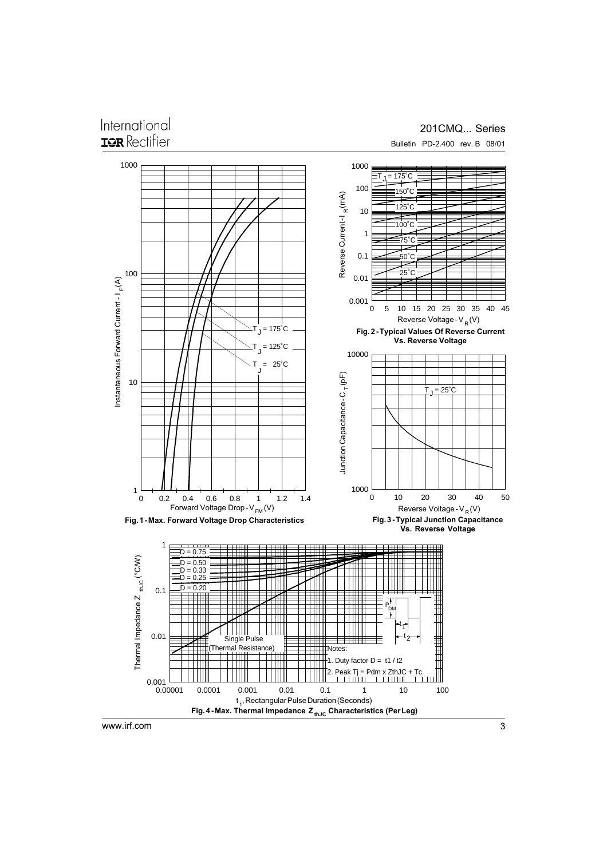# International TOR Rectifier

#### 201CMQ... Series Bulletin PD-2.400 rev. B 08/01

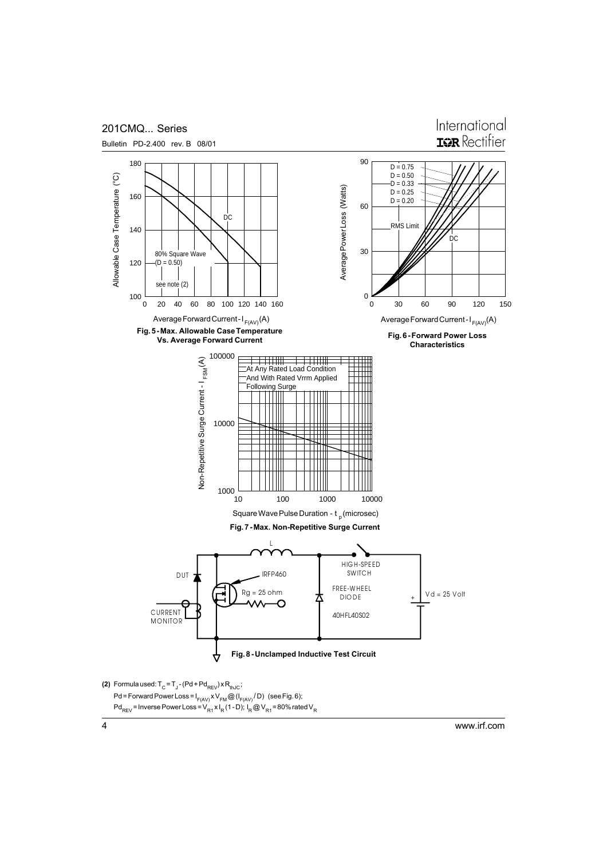

Pd<sub>REV</sub> = Inverse Power Loss = V<sub>R1</sub> x I<sub>R</sub> (1 - D); I<sub>R</sub> @ V<sub>R1</sub> = 80% rated V<sub>R</sub>

www.irf.com